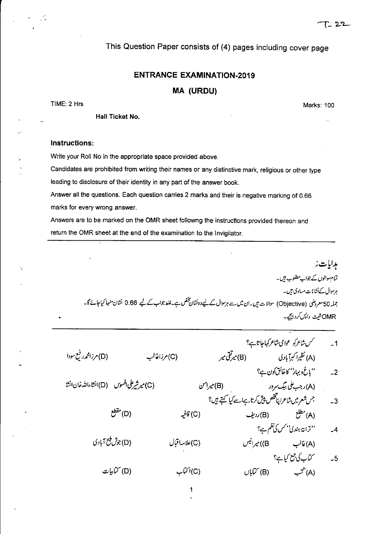Marks: 100

This Question Paper consists of (4) pages including cover page

## **ENTRANCE EXAMINATION-2019**

## **MA (URDU)**

TIME: 2 Hrs

Hall Ticket No.

## Instructions:

Write your Roll No in the appropriate space provided above.

Candidates are prohibited from writing their names or any distinctive mark, religious or other type leading to disclosure of their identity in any part of the answer book.

Answer all the questions. Each question carries 2 marks and their is negative marking of 0.66 marks for every wrong answer.

Answers are to be marked on the OMR sheet followng the instructions provided thereon and return the OMR sheet at the end of the examination to the Invigilator.

ہدایات نہ تمام والوں کے جواب مطلوب ہیں۔ ہرسوال کے نشانات مساوی ہیں۔ جملہ50 معروضی (Objective) سوالات ہیں۔ان میں سے ہرسوال کے لیےدونشان پختص ہے۔غلط جواب کے لیے 0.66 نشان منہا کیاجائے گا۔ OMRشیٹ داپس کردیجے۔

|                                             |                           |               |                                                       | سمس شاعرکو عوامی شاعر کہاجاتا ہے؟ |                                | $-1$ |
|---------------------------------------------|---------------------------|---------------|-------------------------------------------------------|-----------------------------------|--------------------------------|------|
| (D) مرزامجم <sub>در</sub> فیع سودا          |                           | (C) مرزاعالب  |                                                       | (A) نظیرا کبرآبادی (B) میرکفی میر |                                |      |
|                                             |                           |               |                                                       |                                   | ''باغ و بہار'' کا خالق کون ہے؟ | $-2$ |
| (C) میرشیر علی افسوس (D) انشاءالله خان انشا |                           |               | . (A)رجب علی بیگ سرور (B) میرامن                      |                                   |                                |      |
|                                             |                           |               | جس شعر میں شاعرا پناتخلص پیش کرتا ہےاسے کیا کہتے ہیں؟ |                                   |                                | $-3$ |
|                                             | (D) مقطع                  | (C) قافيه     |                                                       | (A) مطلع (B) ردیف                 |                                |      |
|                                             |                           |               |                                                       |                                   | ''ترانۂ ہندئ'' کس کی نظم ہے؟   | $-4$ |
|                                             | (D)جو <i>ش پلج آ</i> بادی | (C)علامہاقبال |                                                       | B)) میرانیس                       | (A) غالب                       |      |
|                                             |                           |               |                                                       |                                   | 5۔ کتاب کی جمع کیا ہے؟         |      |
|                                             | (D) کتابیات               | (C) اکتاب     |                                                       | (A) کتب (B) کتاباں                |                                |      |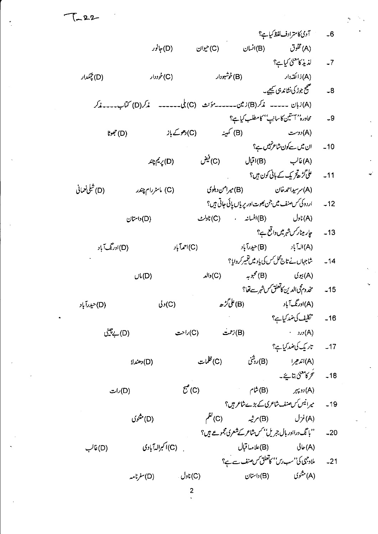6۔ آدی کا مترادف لفظ کیاہے؟ (B)انسان (C)حیوان (D) جانور (A) مخلوق لذيذ كالمعنى كيا ہے؟  $-7$ (B) خوشبودار (A) ذا كَ**ق**ەدار (D) چېګډار (C)خوددار میمچ جوڑ کی نشاند ہی کیجیے۔  $-8$ (A)زبان ----- *مذکر*(B)زمین------- مؤنث (C) بلی------ مذکر(D) کتاب----مذکر محادره'' آستین کاسانی'' کامطلب کیا ہے؟  $-9$ (B) کمپینہ (C) دھوکے باز (A) دوست (D) جموڻا ان میں سے کون شاعر نہیں ہے؟  $-10$ (C) فيض (D) ريم چند (A) غالب (B) اقبال علی گڑھ تر یک کے بانی کون ہیں؟  $-11$ (D) شِلْيْعْدَانِي (A) سرسیداحمہ خان (B) میرامن دہلوی (C) ماسٹررام چندر 12۔ اردوکی *کس صنف میں جن بھوت اور پر*یاں پائی جاتی ہیں؟ (A) ناول (B) افسانه (C) (C) ناولٹ (D) داستان 13۔ یہ چارمینار*کن شہرمیں د*اقع ہے؟ (A)الہآباد (B)حیدرآباد (D)اورنگ آباد (C)احمدآباد 14۔ شاجہاں نے تاج محل *ک*ی پاد میں تغییر کروایا ؟ والد $(\mathsf{C})$ (A) بیوی (B) محبوبه  $U(L(D))$ (B)علي گڑ ھ (A)ادرنگ آباد (D)حیدرآباد  $J_2(C)$ 16۔ تکلیف کی ضد کیا ہے؟  $\cdot$  (A) (D) بے پینی (C)راحت (B)زحمت 17۔ تاریک کی ضد کیا ہے؟ (B)روشن (C) ظلمات (A)اندھيرا (D) دھندلا 18۔ تحرکامعنیٰ بتائے۔  $\mathcal{C}^{\bullet}(\mathbb{C})$ (B) شام  $r_{\tau}$  (A)  $L(D)$ 19۔ یہ انی*ں کن منف شاعری کے بڑے شاعر ہیں؟*  $\beta$ <sup>E'</sup>(C) (D) مثنوی (A)غزل (B)مرثیہ ''با تک دراادر ہال جریل'' کس شاعر کے شعری مجموعے ہیں؟  $-20$ (A) حالي . (C) اکبرالهآبادی (B) علامہ! قبال (D)غالب ملاد جیمی کی''سب رس'' کاتعلق *کس صنف سے ہے؟*  $-21$ (A) مثنوی (B) داستان (C) ناول . (D)سفرنامه  $\overline{2}$ 

T\_22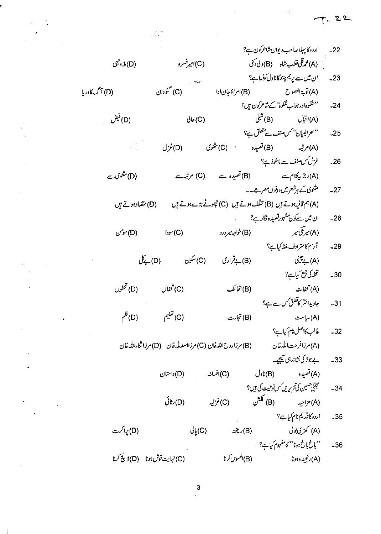$\frac{3}{2}$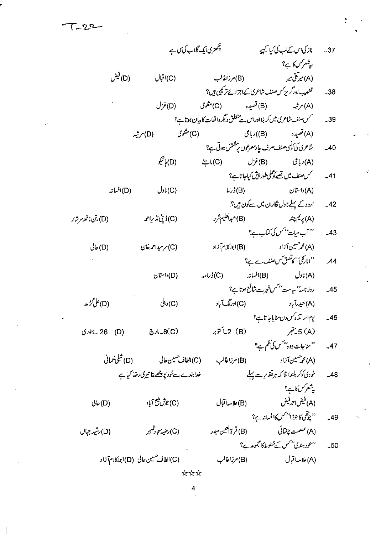$$
\tau_{-22}
$$

 $\frac{1}{2}$